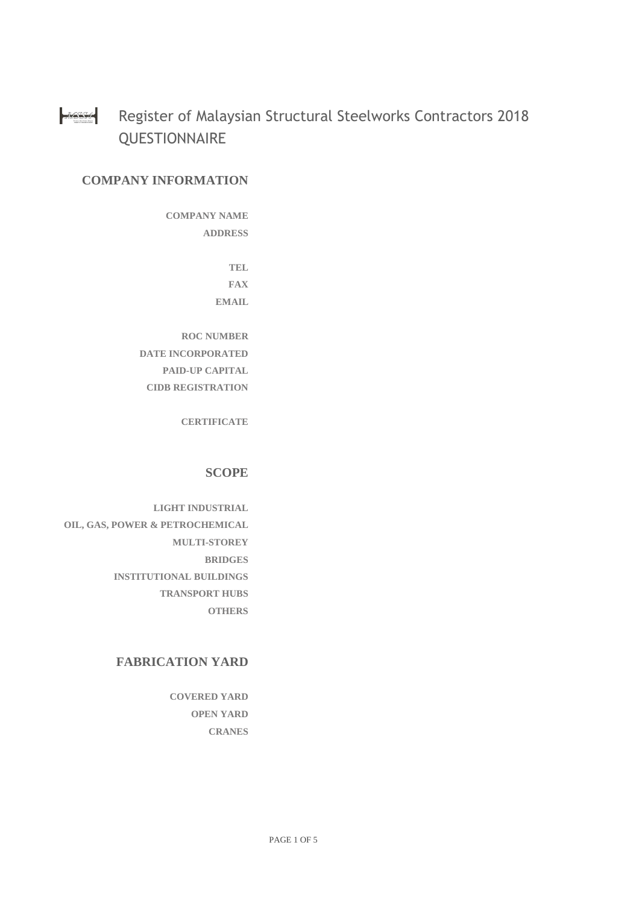#### **MASSA** Register of Malaysian Structural Steelworks Contractors 2018 **QUESTIONNAIRE**

# **COMPANY INFORMATION**

**COMPANY NAME ADDRESS**

> **TEL FAX EMAIL**

**ROC NUMBER DATE INCORPORATED PAID-UP CAPITAL CIDB REGISTRATION**

**CERTIFICATE**

## **SCOPE**

**LIGHT INDUSTRIAL OIL, GAS, POWER & PETROCHEMICAL MULTI-STOREY BRIDGES INSTITUTIONAL BUILDINGS TRANSPORT HUBS OTHERS**

## **FABRICATION YARD**

**COVERED YARD OPEN YARD CRANES**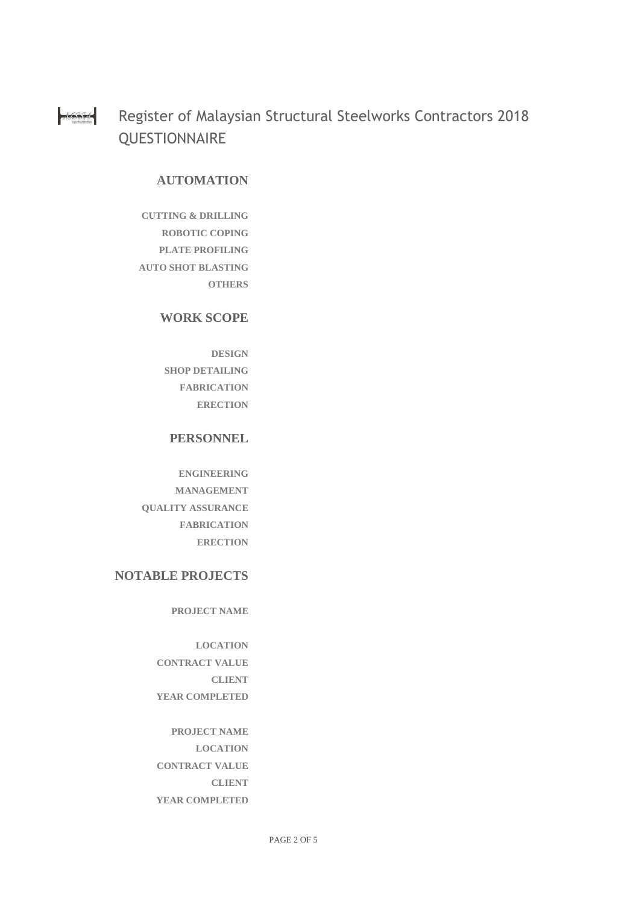Register of Malaysian Structural Steelworks Contractors 2018 14554 **QUESTIONNAIRE** 

#### **AUTOMATION**

**CUTTING & DRILLING ROBOTIC COPING PLATE PROFILING AUTO SHOT BLASTING OTHERS**

#### **WORK SCOPE**

**DESIGN SHOP DETAILING FABRICATION ERECTION**

#### **PERSONNEL**

**ENGINEERING MANAGEMENT QUALITY ASSURANCE FABRICATION ERECTION**

## **NOTABLE PROJECTS**

**PROJECT NAME**

**LOCATION CONTRACT VALUE CLIENT YEAR COMPLETED**

**PROJECT NAME LOCATION CONTRACT VALUE CLIENT YEAR COMPLETED**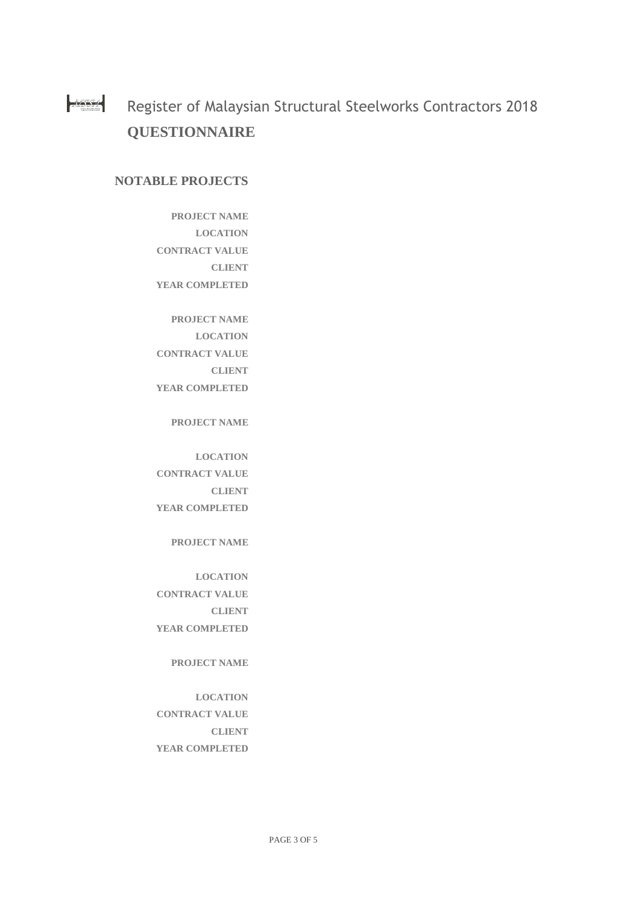14554 Register of Malaysian Structural Steelworks Contractors 2018 **QUESTIONNAIRE**

#### **NOTABLE PROJECTS**

- **PROJECT NAME LOCATION CONTRACT VALUE CLIENT YEAR COMPLETED**
- **PROJECT NAME LOCATION CONTRACT VALUE CLIENT YEAR COMPLETED**

**PROJECT NAME**

**LOCATION CONTRACT VALUE CLIENT YEAR COMPLETED**

**PROJECT NAME**

**LOCATION CONTRACT VALUE CLIENT YEAR COMPLETED**

#### **PROJECT NAME**

# **LOCATION**

**CONTRACT VALUE CLIENT YEAR COMPLETED**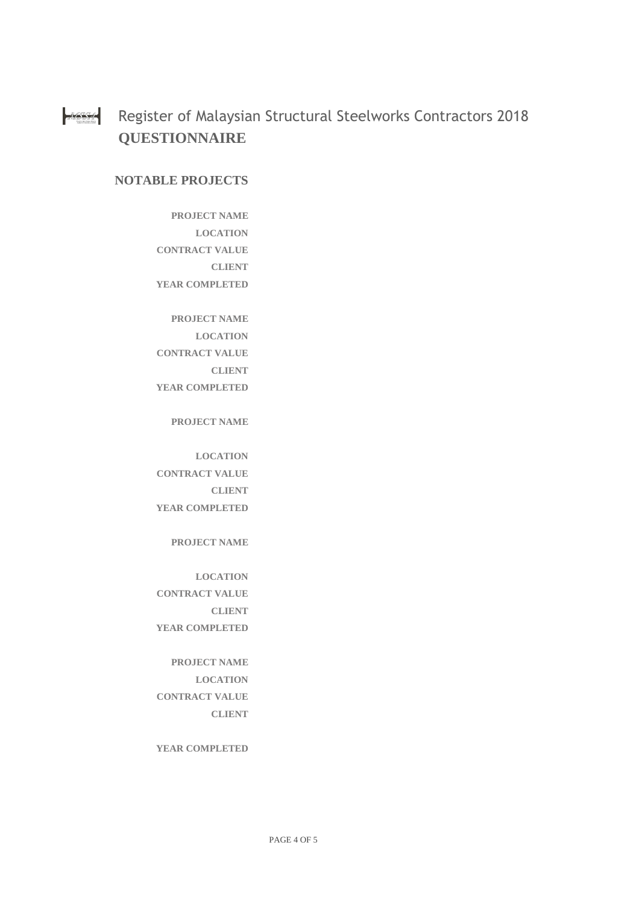#### $MSSA$ Register of Malaysian Structural Steelworks Contractors 2018 **QUESTIONNAIRE**

## **NOTABLE PROJECTS**

- **PROJECT NAME LOCATION CONTRACT VALUE CLIENT YEAR COMPLETED**
- **PROJECT NAME LOCATION CONTRACT VALUE CLIENT YEAR COMPLETED**

**PROJECT NAME**

**LOCATION CONTRACT VALUE CLIENT YEAR COMPLETED**

**PROJECT NAME**

**LOCATION CONTRACT VALUE CLIENT YEAR COMPLETED**

**PROJECT NAME LOCATION CONTRACT VALUE CLIENT**

**YEAR COMPLETED**